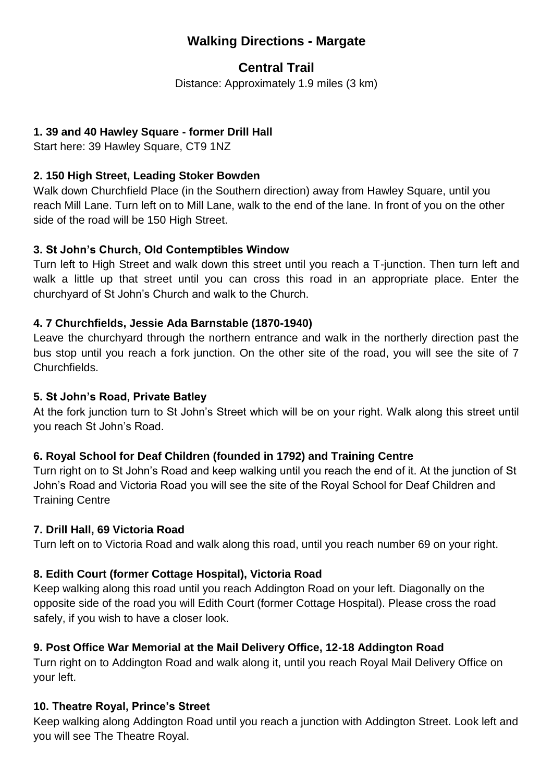# **Walking Directions - Margate**

# **Central Trail**

Distance: Approximately 1.9 miles (3 km)

# **1. 39 and 40 Hawley Square - former Drill Hall**

Start here: 39 Hawley Square, CT9 1NZ

# **2. 150 High Street, Leading Stoker Bowden**

Walk down Churchfield Place (in the Southern direction) away from Hawley Square, until you reach Mill Lane. Turn left on to Mill Lane, walk to the end of the lane. In front of you on the other side of the road will be 150 High Street.

# **3. St John's Church, Old Contemptibles Window**

Turn left to High Street and walk down this street until you reach a T-junction. Then turn left and walk a little up that street until you can cross this road in an appropriate place. Enter the churchyard of St John's Church and walk to the Church.

# **4. 7 Churchfields, Jessie Ada Barnstable (1870-1940)**

Leave the churchyard through the northern entrance and walk in the northerly direction past the bus stop until you reach a fork junction. On the other site of the road, you will see the site of 7 Churchfields.

### **5. St John's Road, Private Batley**

At the fork junction turn to St John's Street which will be on your right. Walk along this street until you reach St John's Road.

# **6. Royal School for Deaf Children (founded in 1792) and Training Centre**

Turn right on to St John's Road and keep walking until you reach the end of it. At the junction of St John's Road and Victoria Road you will see the site of the Royal School for Deaf Children and Training Centre

#### **7. Drill Hall, 69 Victoria Road**

Turn left on to Victoria Road and walk along this road, until you reach number 69 on your right.

# **8. Edith Court (former Cottage Hospital), Victoria Road**

Keep walking along this road until you reach Addington Road on your left. Diagonally on the opposite side of the road you will Edith Court (former Cottage Hospital). Please cross the road safely, if you wish to have a closer look.

# **9. Post Office War Memorial at the Mail Delivery Office, 12-18 Addington Road**

Turn right on to Addington Road and walk along it, until you reach Royal Mail Delivery Office on your left.

# **10. Theatre Royal, Prince's Street**

Keep walking along Addington Road until you reach a junction with Addington Street. Look left and you will see The Theatre Royal.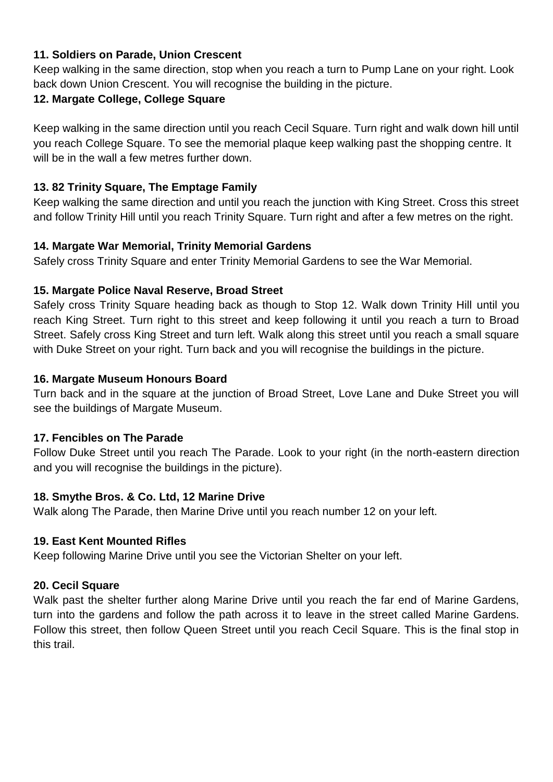#### **11. Soldiers on Parade, Union Crescent**

Keep walking in the same direction, stop when you reach a turn to Pump Lane on your right. Look back down Union Crescent. You will recognise the building in the picture.

# **12. Margate College, College Square**

Keep walking in the same direction until you reach Cecil Square. Turn right and walk down hill until you reach College Square. To see the memorial plaque keep walking past the shopping centre. It will be in the wall a few metres further down.

# **13. 82 Trinity Square, The Emptage Family**

Keep walking the same direction and until you reach the junction with King Street. Cross this street and follow Trinity Hill until you reach Trinity Square. Turn right and after a few metres on the right.

#### **14. Margate War Memorial, Trinity Memorial Gardens**

Safely cross Trinity Square and enter Trinity Memorial Gardens to see the War Memorial.

#### **15. Margate Police Naval Reserve, Broad Street**

Safely cross Trinity Square heading back as though to Stop 12. Walk down Trinity Hill until you reach King Street. Turn right to this street and keep following it until you reach a turn to Broad Street. Safely cross King Street and turn left. Walk along this street until you reach a small square with Duke Street on your right. Turn back and you will recognise the buildings in the picture.

#### **16. Margate Museum Honours Board**

Turn back and in the square at the junction of Broad Street, Love Lane and Duke Street you will see the buildings of Margate Museum.

#### **17. Fencibles on The Parade**

Follow Duke Street until you reach The Parade. Look to your right (in the north-eastern direction and you will recognise the buildings in the picture).

#### **18. Smythe Bros. & Co. Ltd, 12 Marine Drive**

Walk along The Parade, then Marine Drive until you reach number 12 on your left.

#### **19. East Kent Mounted Rifles**

Keep following Marine Drive until you see the Victorian Shelter on your left.

# **20. Cecil Square**

Walk past the shelter further along Marine Drive until you reach the far end of Marine Gardens, turn into the gardens and follow the path across it to leave in the street called Marine Gardens. Follow this street, then follow Queen Street until you reach Cecil Square. This is the final stop in this trail.